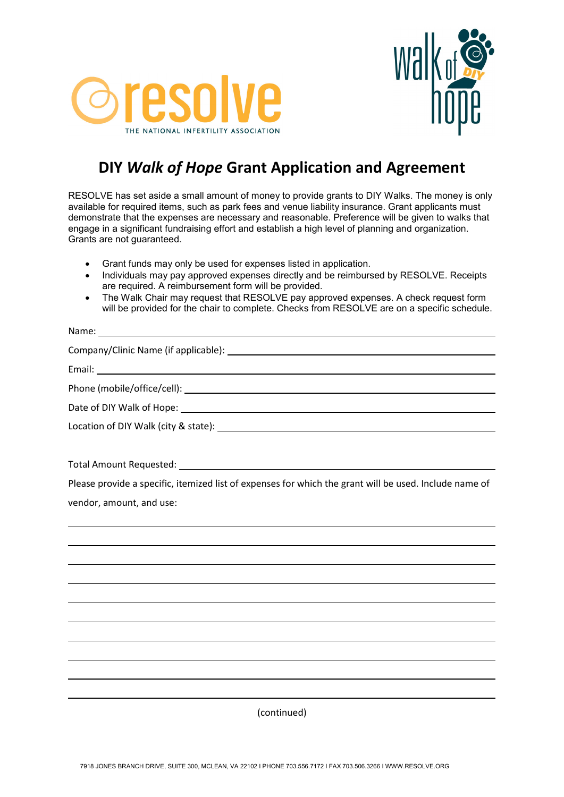



## **DIY** *Walk of Hope* **Grant Application and Agreement**

RESOLVE has set aside a small amount of money to provide grants to DIY Walks. The money is only available for required items, such as park fees and venue liability insurance. Grant applicants must demonstrate that the expenses are necessary and reasonable. Preference will be given to walks that engage in a significant fundraising effort and establish a high level of planning and organization. Grants are not guaranteed.

- Grant funds may only be used for expenses listed in application.<br>• Individuals may pay approved expenses directly and he reimburs
- Individuals may pay approved expenses directly and be reimbursed by RESOLVE. Receipts are required. A reimbursement form will be provided.
- The Walk Chair may request that RESOLVE pay approved expenses. A check request form will be provided for the chair to complete. Checks from RESOLVE are on a specific schedule.

(continued)